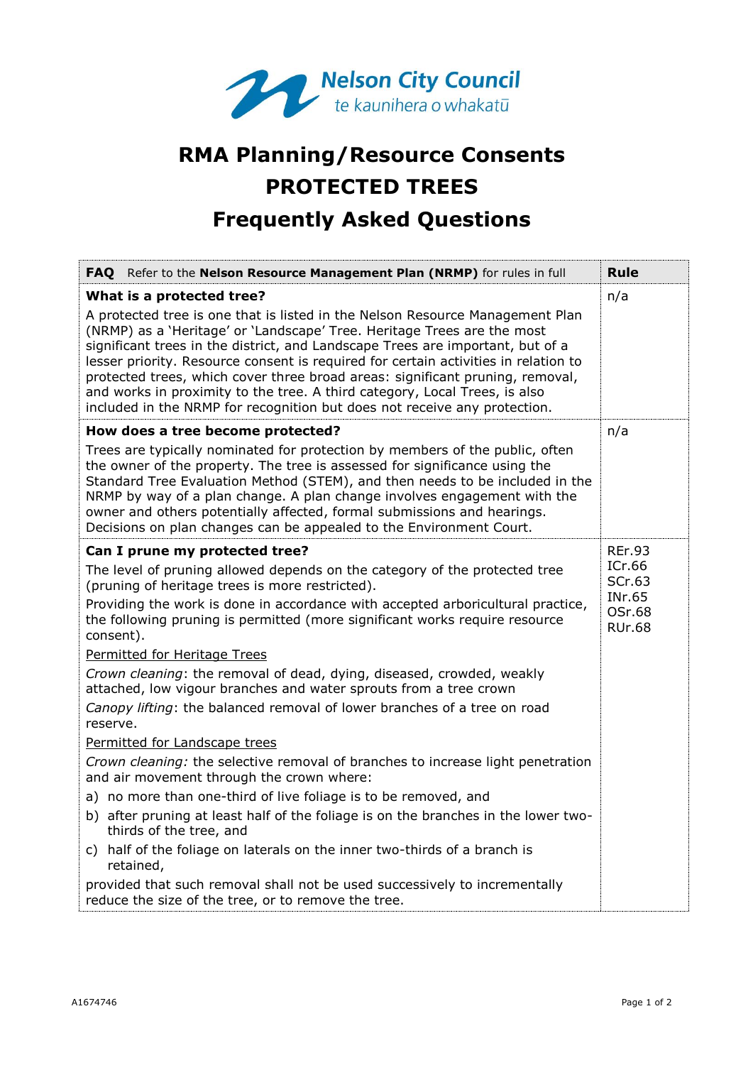

## **RMA Planning/Resource Consents PROTECTED TREES Frequently Asked Questions**

| FAQ Refer to the Nelson Resource Management Plan (NRMP) for rules in full                                                                                                                                                                                                                                                                                                                                                                                                                                                                                                                                                                                                                                                                                                                                                                                                                                                                                                                                                                                                                                                                                | Rule                                                                   |
|----------------------------------------------------------------------------------------------------------------------------------------------------------------------------------------------------------------------------------------------------------------------------------------------------------------------------------------------------------------------------------------------------------------------------------------------------------------------------------------------------------------------------------------------------------------------------------------------------------------------------------------------------------------------------------------------------------------------------------------------------------------------------------------------------------------------------------------------------------------------------------------------------------------------------------------------------------------------------------------------------------------------------------------------------------------------------------------------------------------------------------------------------------|------------------------------------------------------------------------|
| What is a protected tree?<br>A protected tree is one that is listed in the Nelson Resource Management Plan<br>(NRMP) as a 'Heritage' or 'Landscape' Tree. Heritage Trees are the most<br>significant trees in the district, and Landscape Trees are important, but of a<br>lesser priority. Resource consent is required for certain activities in relation to<br>protected trees, which cover three broad areas: significant pruning, removal,<br>and works in proximity to the tree. A third category, Local Trees, is also<br>included in the NRMP for recognition but does not receive any protection.                                                                                                                                                                                                                                                                                                                                                                                                                                                                                                                                               | n/a                                                                    |
| How does a tree become protected?<br>Trees are typically nominated for protection by members of the public, often<br>the owner of the property. The tree is assessed for significance using the<br>Standard Tree Evaluation Method (STEM), and then needs to be included in the<br>NRMP by way of a plan change. A plan change involves engagement with the<br>owner and others potentially affected, formal submissions and hearings.<br>Decisions on plan changes can be appealed to the Environment Court.                                                                                                                                                                                                                                                                                                                                                                                                                                                                                                                                                                                                                                            | n/a                                                                    |
| Can I prune my protected tree?<br>The level of pruning allowed depends on the category of the protected tree<br>(pruning of heritage trees is more restricted).<br>Providing the work is done in accordance with accepted arboricultural practice,<br>the following pruning is permitted (more significant works require resource<br>consent).<br><b>Permitted for Heritage Trees</b><br>Crown cleaning: the removal of dead, dying, diseased, crowded, weakly<br>attached, low vigour branches and water sprouts from a tree crown<br>Canopy lifting: the balanced removal of lower branches of a tree on road<br>reserve.<br>Permitted for Landscape trees<br>Crown cleaning: the selective removal of branches to increase light penetration<br>and air movement through the crown where:<br>a) no more than one-third of live foliage is to be removed, and<br>b) after pruning at least half of the foliage is on the branches in the lower two-<br>thirds of the tree, and<br>c) half of the foliage on laterals on the inner two-thirds of a branch is<br>retained,<br>provided that such removal shall not be used successively to incrementally | REr.93<br>ICr.66<br>SCr.63<br>INr.65<br><b>OSr.68</b><br><b>RUr.68</b> |